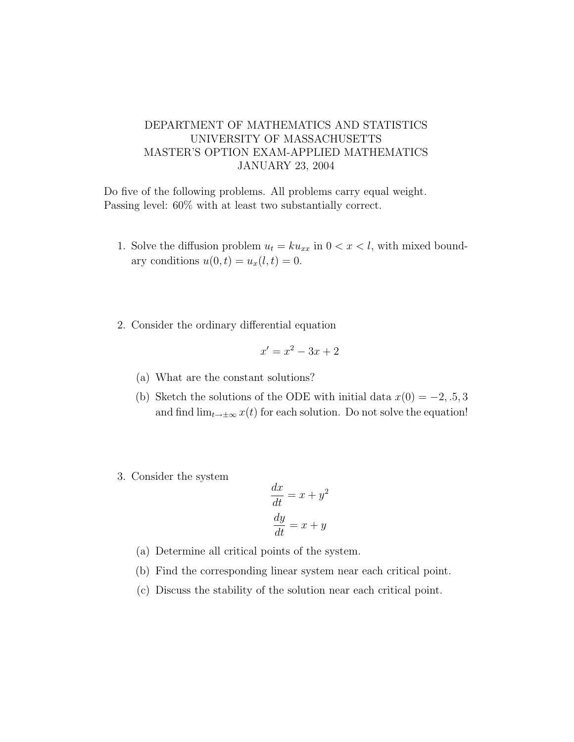## DEPARTMENT OF MATHEMATICS AND STATISTICS UNIVERSITY OF MASSACHUSETTS MASTER'S OPTION EXAM-APPLIED MATHEMATICS JANUARY 23, 2004

Do five of the following problems. All problems carry equal weight. Passing level: 60% with at least two substantially correct.

- 1. Solve the diffusion problem  $u_t = k u_{xx}$  in  $0 < x < l$ , with mixed boundary conditions  $u(0, t) = u_x(l, t) = 0$ .
- 2. Consider the ordinary differential equation

$$
x' = x^2 - 3x + 2
$$

- (a) What are the constant solutions?
- (b) Sketch the solutions of the ODE with initial data  $x(0) = -2, 0.5, 3$ and find  $\lim_{t\to\pm\infty}x(t)$  for each solution. Do not solve the equation!
- 3. Consider the system

$$
\frac{dx}{dt} = x + y^2
$$

$$
\frac{dy}{dt} = x + y
$$

- (a) Determine all critical points of the system.
- (b) Find the corresponding linear system near each critical point.
- (c) Discuss the stability of the solution near each critical point.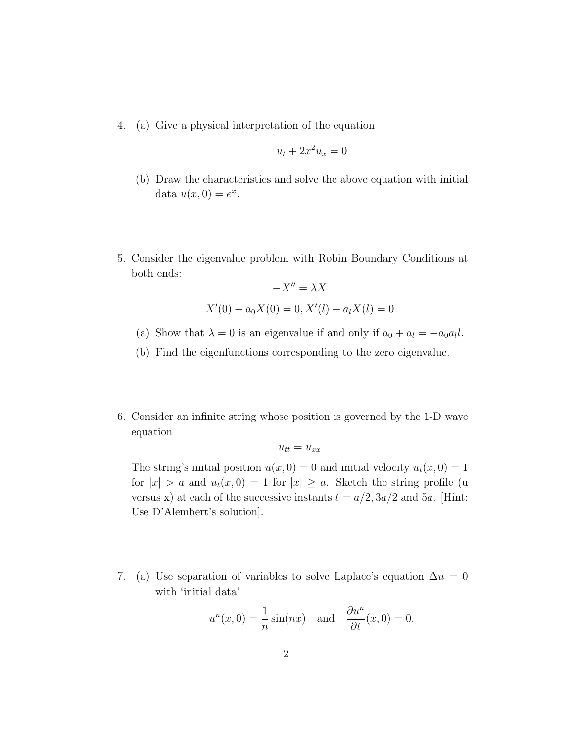4. (a) Give a physical interpretation of the equation

$$
u_t + 2x^2 u_x = 0
$$

- (b) Draw the characteristics and solve the above equation with initial data  $u(x, 0) = e^x$ .
- 5. Consider the eigenvalue problem with Robin Boundary Conditions at both ends:

$$
-X'' = \lambda X
$$
  
 
$$
X'(0) - a_0 X(0) = 0, X'(l) + a_l X(l) = 0
$$

- (a) Show that  $\lambda = 0$  is an eigenvalue if and only if  $a_0 + a_l = -a_0 a_l l$ .
- (b) Find the eigenfunctions corresponding to the zero eigenvalue.
- 6. Consider an infinite string whose position is governed by the 1-D wave equation

$$
u_{tt} = u_{xx}
$$

The string's initial position  $u(x, 0) = 0$  and initial velocity  $u_t(x, 0) = 1$ for  $|x| > a$  and  $u_t(x, 0) = 1$  for  $|x| \ge a$ . Sketch the string profile (u versus x) at each of the successive instants  $t = a/2$ ,  $3a/2$  and  $5a$ . [Hint: Use D'Alembert's solution].

7. (a) Use separation of variables to solve Laplace's equation  $\Delta u = 0$ with 'initial data'

$$
u^{n}(x, 0) = \frac{1}{n} \sin(nx)
$$
 and  $\frac{\partial u^{n}}{\partial t}(x, 0) = 0.$